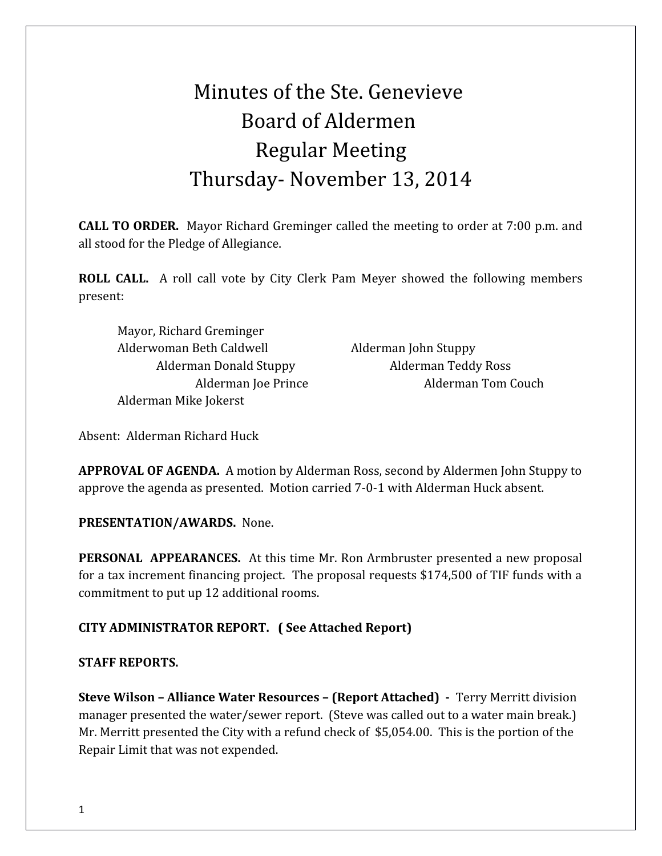# Minutes of the Ste. Genevieve Board of Aldermen Regular Meeting Thursday- November 13, 2014

**CALL TO ORDER.** Mayor Richard Greminger called the meeting to order at 7:00 p.m. and all stood for the Pledge of Allegiance.

**ROLL CALL.** A roll call vote by City Clerk Pam Meyer showed the following members present:

Mayor, Richard Greminger Alderwoman Beth Caldwell Alderman John Stuppy Alderman Mike Jokerst

Alderman Donald Stuppy Alderman Teddy Ross Alderman Joe Prince Alderman Tom Couch

Absent:Alderman Richard Huck

**APPROVAL OF AGENDA.** A motion by Alderman Ross, second by Aldermen John Stuppy to approve the agenda as presented. Motion carried 7-0-1 with Alderman Huck absent.

**PRESENTATION/AWARDS.** None.

**PERSONAL APPEARANCES.** At this time Mr. Ron Armbruster presented a new proposal for a tax increment financing project. The proposal requests \$174,500 of TIF funds with a commitment to put up 12 additional rooms.

# **CITY ADMINISTRATOR REPORT. ( See Attached Report)**

### **STAFF REPORTS.**

**Steve Wilson – Alliance Water Resources – (Report Attached) -** Terry Merritt division manager presented the water/sewer report. (Steve was called out to a water main break.) Mr. Merritt presented the City with a refund check of \$5,054.00. This is the portion of the Repair Limit that was not expended.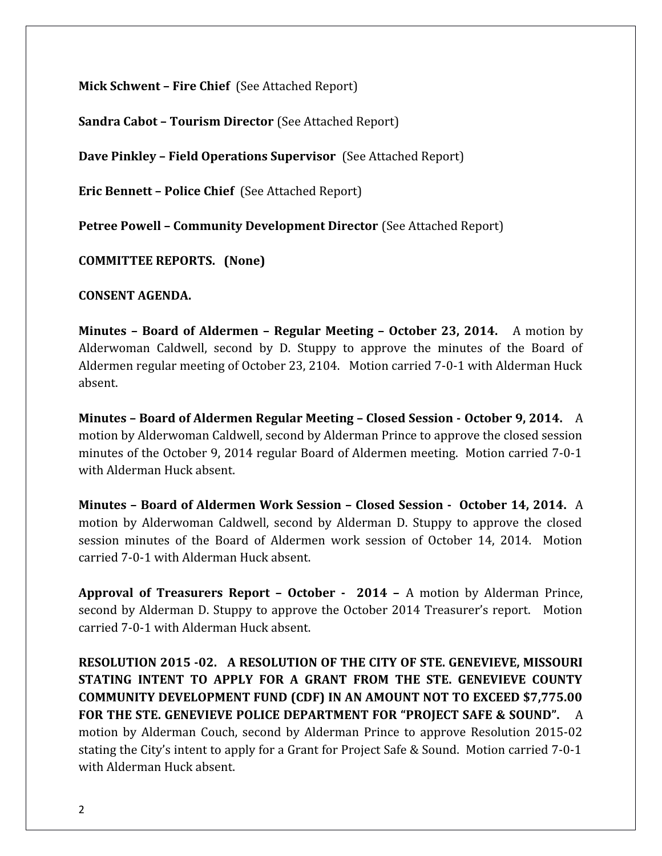**Mick Schwent – Fire Chief** (See Attached Report)

**Sandra Cabot – Tourism Director** (See Attached Report)

**Dave Pinkley – Field Operations Supervisor** (See Attached Report)

**Eric Bennett – Police Chief** (See Attached Report)

**Petree Powell – Community Development Director** (See Attached Report)

**COMMITTEE REPORTS. (None)**

**CONSENT AGENDA.** 

**Minutes – Board of Aldermen – Regular Meeting – October 23, 2014.** A motion by Alderwoman Caldwell, second by D. Stuppy to approve the minutes of the Board of Aldermen regular meeting of October 23, 2104. Motion carried 7-0-1 with Alderman Huck absent.

**Minutes – Board of Aldermen Regular Meeting – Closed Session - October 9, 2014.** A motion by Alderwoman Caldwell, second by Alderman Prince to approve the closed session minutes of the October 9, 2014 regular Board of Aldermen meeting. Motion carried 7-0-1 with Alderman Huck absent.

**Minutes – Board of Aldermen Work Session – Closed Session - October 14, 2014.** A motion by Alderwoman Caldwell, second by Alderman D. Stuppy to approve the closed session minutes of the Board of Aldermen work session of October 14, 2014. Motion carried 7-0-1 with Alderman Huck absent.

**Approval of Treasurers Report – October - 2014 –** A motion by Alderman Prince, second by Alderman D. Stuppy to approve the October 2014 Treasurer's report. Motion carried 7-0-1 with Alderman Huck absent.

**RESOLUTION 2015 -02. A RESOLUTION OF THE CITY OF STE. GENEVIEVE, MISSOURI STATING INTENT TO APPLY FOR A GRANT FROM THE STE. GENEVIEVE COUNTY COMMUNITY DEVELOPMENT FUND (CDF) IN AN AMOUNT NOT TO EXCEED \$7,775.00 FOR THE STE. GENEVIEVE POLICE DEPARTMENT FOR "PROJECT SAFE & SOUND".** A motion by Alderman Couch, second by Alderman Prince to approve Resolution 2015-02 stating the City's intent to apply for a Grant for Project Safe & Sound. Motion carried 7-0-1 with Alderman Huck absent.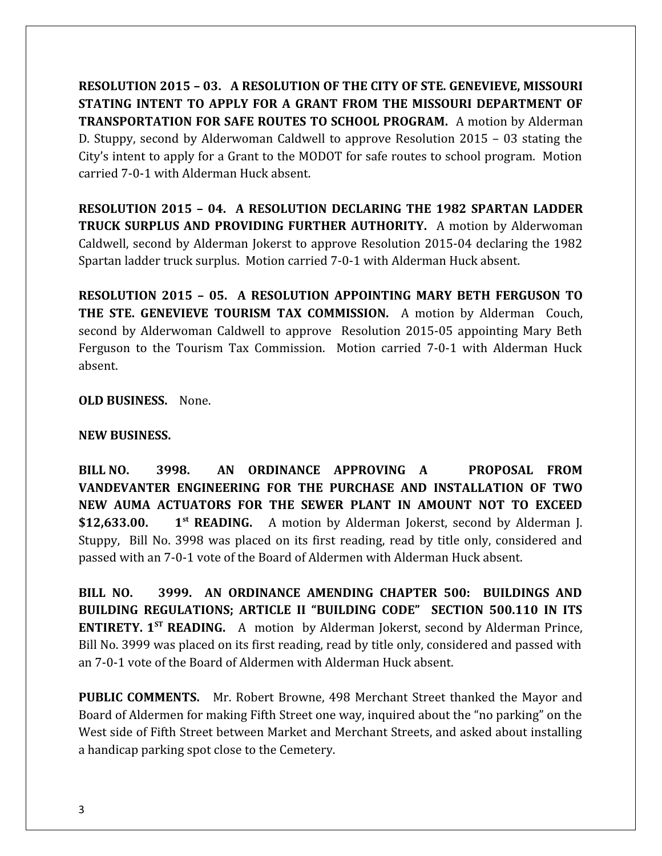**RESOLUTION 2015 – 03. A RESOLUTION OF THE CITY OF STE. GENEVIEVE, MISSOURI STATING INTENT TO APPLY FOR A GRANT FROM THE MISSOURI DEPARTMENT OF TRANSPORTATION FOR SAFE ROUTES TO SCHOOL PROGRAM.** A motion by Alderman D. Stuppy, second by Alderwoman Caldwell to approve Resolution 2015 – 03 stating the City's intent to apply for a Grant to the MODOT for safe routes to school program. Motion carried 7-0-1 with Alderman Huck absent.

**RESOLUTION 2015 – 04. A RESOLUTION DECLARING THE 1982 SPARTAN LADDER TRUCK SURPLUS AND PROVIDING FURTHER AUTHORITY.** A motion by Alderwoman Caldwell, second by Alderman Jokerst to approve Resolution 2015-04 declaring the 1982 Spartan ladder truck surplus. Motion carried 7-0-1 with Alderman Huck absent.

**RESOLUTION 2015 – 05. A RESOLUTION APPOINTING MARY BETH FERGUSON TO THE STE. GENEVIEVE TOURISM TAX COMMISSION.** A motion by Alderman Couch, second by Alderwoman Caldwell to approve Resolution 2015-05 appointing Mary Beth Ferguson to the Tourism Tax Commission. Motion carried 7-0-1 with Alderman Huck absent.

**OLD BUSINESS.** None.

### **NEW BUSINESS.**

**BILL NO. 3998. AN ORDINANCE APPROVING A PROPOSAL FROM VANDEVANTER ENGINEERING FOR THE PURCHASE AND INSTALLATION OF TWO NEW AUMA ACTUATORS FOR THE SEWER PLANT IN AMOUNT NOT TO EXCEED \$12,633.00. 1st READING.** A motion by Alderman Jokerst, second by Alderman J. Stuppy, Bill No. 3998 was placed on its first reading, read by title only, considered and passed with an 7-0-1 vote of the Board of Aldermen with Alderman Huck absent.

**BILL NO. 3999. AN ORDINANCE AMENDING CHAPTER 500: BUILDINGS AND BUILDING REGULATIONS; ARTICLE II "BUILDING CODE" SECTION 500.110 IN ITS ENTIRETY. 1ST READING.** A motion by Alderman Jokerst, second by Alderman Prince, Bill No. 3999 was placed on its first reading, read by title only, considered and passed with an 7-0-1 vote of the Board of Aldermen with Alderman Huck absent.

**PUBLIC COMMENTS.** Mr. Robert Browne, 498 Merchant Street thanked the Mayor and Board of Aldermen for making Fifth Street one way, inquired about the "no parking" on the West side of Fifth Street between Market and Merchant Streets, and asked about installing a handicap parking spot close to the Cemetery.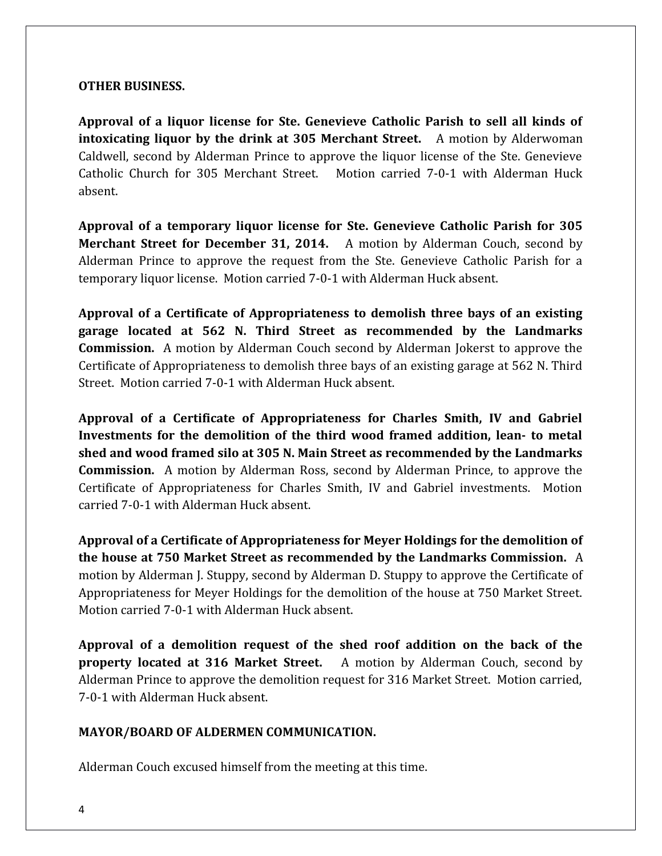### **OTHER BUSINESS.**

**Approval of a liquor license for Ste. Genevieve Catholic Parish to sell all kinds of intoxicating liquor by the drink at 305 Merchant Street.** A motion by Alderwoman Caldwell, second by Alderman Prince to approve the liquor license of the Ste. Genevieve Catholic Church for 305 Merchant Street. Motion carried 7-0-1 with Alderman Huck absent.

**Approval of a temporary liquor license for Ste. Genevieve Catholic Parish for 305 Merchant Street for December 31, 2014.** A motion by Alderman Couch, second by Alderman Prince to approve the request from the Ste. Genevieve Catholic Parish for a temporary liquor license. Motion carried 7-0-1 with Alderman Huck absent.

**Approval of a Certificate of Appropriateness to demolish three bays of an existing garage located at 562 N. Third Street as recommended by the Landmarks Commission.** A motion by Alderman Couch second by Alderman Jokerst to approve the Certificate of Appropriateness to demolish three bays of an existing garage at 562 N. Third Street. Motion carried 7-0-1 with Alderman Huck absent.

**Approval of a Certificate of Appropriateness for Charles Smith, IV and Gabriel Investments for the demolition of the third wood framed addition, lean- to metal shed and wood framed silo at 305 N. Main Street as recommended by the Landmarks Commission.** A motion by Alderman Ross, second by Alderman Prince, to approve the Certificate of Appropriateness for Charles Smith, IV and Gabriel investments. Motion carried 7-0-1 with Alderman Huck absent.

**Approval of a Certificate of Appropriateness for Meyer Holdings for the demolition of the house at 750 Market Street as recommended by the Landmarks Commission.** A motion by Alderman J. Stuppy, second by Alderman D. Stuppy to approve the Certificate of Appropriateness for Meyer Holdings for the demolition of the house at 750 Market Street. Motion carried 7-0-1 with Alderman Huck absent.

**Approval of a demolition request of the shed roof addition on the back of the property located at 316 Market Street.** A motion by Alderman Couch, second by Alderman Prince to approve the demolition request for 316 Market Street. Motion carried, 7-0-1 with Alderman Huck absent.

# **MAYOR/BOARD OF ALDERMEN COMMUNICATION.**

Alderman Couch excused himself from the meeting at this time.